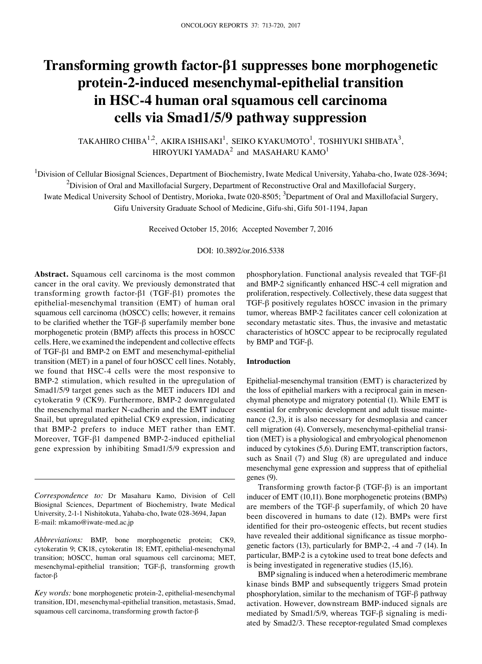# **Transforming growth factor-β1 suppresses bone morphogenetic protein-2-induced mesenchymal-epithelial transition in HSC-4 human oral squamous cell carcinoma cells via Smad1/5/9 pathway suppression**

TAKAHIRO CHIBA $^{1,2}$ , AKIRA ISHISAKI $^{1}$ , SEIKO KYAKUMOTO $^{1}$ , TOSHIYUKI SHIBATA $^{3},$ HIROYUKI YAMADA $^2$  and MASAHARU KAMO $^1$ 

<sup>1</sup>Division of Cellular Biosignal Sciences, Department of Biochemistry, Iwate Medical University, Yahaba-cho, Iwate 028-3694;  $^2$ Division of Oral and Maxillofacial Surgery, Department of Reconstructive Oral and Maxillofacial Surgery,

Iwate Medical University School of Dentistry, Morioka, Iwate 020-8505; <sup>3</sup>Department of Oral and Maxillofacial Surgery,

Gifu University Graduate School of Medicine, Gifu-shi, Gifu 501-1194, Japan

Received October 15, 2016; Accepted November 7, 2016

## DOI: 10.3892/or.2016.5338

**Abstract.** Squamous cell carcinoma is the most common cancer in the oral cavity. We previously demonstrated that transforming growth factor-β1 (TGF-β1) promotes the epithelial-mesenchymal transition (EMT) of human oral squamous cell carcinoma (hOSCC) cells; however, it remains to be clarified whether the TGF-β superfamily member bone morphogenetic protein (BMP) affects this process in hOSCC cells. Here, we examined the independent and collective effects of TGF-β1 and BMP-2 on EMT and mesenchymal-epithelial transition (MET) in a panel of four hOSCC cell lines. Notably, we found that HSC-4 cells were the most responsive to BMP-2 stimulation, which resulted in the upregulation of Smad1/5/9 target genes such as the MET inducers ID1 and cytokeratin 9 (CK9). Furthermore, BMP-2 downregulated the mesenchymal marker N-cadherin and the EMT inducer Snail, but upregulated epithelial CK9 expression, indicating that BMP-2 prefers to induce MET rather than EMT. Moreover, TGF-β1 dampened BMP-2-induced epithelial gene expression by inhibiting Smad1/5/9 expression and

*Correspondence to:* Dr Masaharu Kamo, Division of Cell Biosignal Sciences, Department of Biochemistry, Iwate Medical University, 2-1-1 Nishitokuta, Yahaba-cho, Iwate 028-3694, Japan E-mail: mkamo@iwate-med.ac.jp

*Abbreviations:* BMP, bone morphogenetic protein; CK9, cytokeratin 9; CK18, cytokeratin 18; EMT, epithelial-mesenchymal transition; hOSCC, human oral squamous cell carcinoma; MET, mesenchymal-epithelial transition; TGF-β, transforming growth factor-β

*Key words:* bone morphogenetic protein-2, epithelial-mesenchymal transition, ID1, mesenchymal-epithelial transition, metastasis, Smad, squamous cell carcinoma, transforming growth factor-β

phosphorylation. Functional analysis revealed that TGF-β1 and BMP-2 significantly enhanced HSC-4 cell migration and proliferation, respectively. Collectively, these data suggest that TGF-β positively regulates hOSCC invasion in the primary tumor, whereas BMP-2 facilitates cancer cell colonization at secondary metastatic sites. Thus, the invasive and metastatic characteristics of hOSCC appear to be reciprocally regulated by BMP and TGF-β.

## **Introduction**

Epithelial-mesenchymal transition (EMT) is characterized by the loss of epithelial markers with a reciprocal gain in mesenchymal phenotype and migratory potential (1). While EMT is essential for embryonic development and adult tissue maintenance (2,3), it is also necessary for desmoplasia and cancer cell migration (4). Conversely, mesenchymal-epithelial transition (MET) is a physiological and embryological phenomenon induced by cytokines (5,6). During EMT, transcription factors, such as Snail (7) and Slug (8) are upregulated and induce mesenchymal gene expression and suppress that of epithelial genes (9).

Transforming growth factor-β (TGF-β) is an important inducer of EMT (10,11). Bone morphogenetic proteins (BMPs) are members of the TGF-β superfamily, of which 20 have been discovered in humans to date (12). BMPs were first identified for their pro-osteogenic effects, but recent studies have revealed their additional significance as tissue morphogenetic factors (13), particularly for BMP-2, -4 and -7 (14). In particular, BMP-2 is a cytokine used to treat bone defects and is being investigated in regenerative studies (15,16).

BMP signaling is induced when a heterodimeric membrane kinase binds BMP and subsequently triggers Smad protein phosphorylation, similar to the mechanism of TGF-β pathway activation. However, downstream BMP-induced signals are mediated by Smad1/5/9, whereas TGF-β signaling is mediated by Smad2/3. These receptor-regulated Smad complexes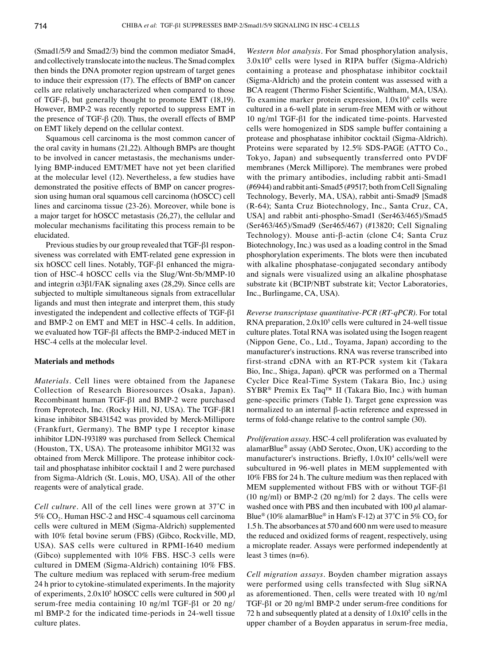(Smad1/5/9 and Smad2/3) bind the common mediator Smad4, and collectively translocate into the nucleus. The Smad complex then binds the DNA promoter region upstream of target genes to induce their expression (17). The effects of BMP on cancer cells are relatively uncharacterized when compared to those of TGF-β, but generally thought to promote EMT (18,19). However, BMP-2 was recently reported to suppress EMT in the presence of TGF-β (20). Thus, the overall effects of BMP on EMT likely depend on the cellular context.

Squamous cell carcinoma is the most common cancer of the oral cavity in humans (21,22). Although BMPs are thought to be involved in cancer metastasis, the mechanisms underlying BMP-induced EMT/MET have not yet been clarified at the molecular level (12). Nevertheless, a few studies have demonstrated the positive effects of BMP on cancer progression using human oral squamous cell carcinoma (hOSCC) cell lines and carcinoma tissue (23-26). Moreover, while bone is a major target for hOSCC metastasis (26,27), the cellular and molecular mechanisms facilitating this process remain to be elucidated.

Previous studies by our group revealed that TGF-β1 responsiveness was correlated with EMT-related gene expression in six hOSCC cell lines. Notably, TGF-β1 enhanced the migration of HSC-4 hOSCC cells via the Slug/Wnt-5b/MMP-10 and integrin α3β1/FAK signaling axes (28,29). Since cells are subjected to multiple simultaneous signals from extracellular ligands and must then integrate and interpret them, this study investigated the independent and collective effects of TGF-β1 and BMP-2 on EMT and MET in HSC-4 cells. In addition, we evaluated how TGF-β1 affects the BMP-2-induced MET in HSC-4 cells at the molecular level.

### **Materials and methods**

*Materials.* Cell lines were obtained from the Japanese Collection of Research Bioresources (Osaka, Japan). Recombinant human TGF-β1 and BMP-2 were purchased from Peprotech, Inc. (Rocky Hill, NJ, USA). The TGF-βR1 kinase inhibitor SB431542 was provided by Merck-Millipore (Frankfurt, Germany). The BMP type I receptor kinase inhibitor LDN-193189 was purchased from Selleck Chemical (Houston, TX, USA). The proteasome inhibitor MG132 was obtained from Merck Millipore. The protease inhibitor cocktail and phosphatase inhibitor cocktail 1 and 2 were purchased from Sigma-Aldrich (St. Louis, MO, USA). All of the other reagents were of analytical grade.

*Cell culture.* All of the cell lines were grown at 37˚C in  $5\%$  CO<sub>2</sub>. Human HSC-2 and HSC-4 squamous cell carcinoma cells were cultured in MEM (Sigma-Aldrich) supplemented with 10% fetal bovine serum (FBS) (Gibco, Rockville, MD, USA). SAS cells were cultured in RPMI-1640 medium (Gibco) supplemented with 10% FBS. HSC-3 cells were cultured in DMEM (Sigma‑Aldrich) containing 10% FBS. The culture medium was replaced with serum-free medium 24 h prior to cytokine-stimulated experiments. In the majority of experiments,  $2.0x10<sup>5</sup>$  hOSCC cells were cultured in 500  $\mu$ l serum-free media containing 10 ng/ml TGF-β1 or 20 ng/ ml BMP-2 for the indicated time-periods in 24-well tissue culture plates.

*Western blot analysis.* For Smad phosphorylation analysis, 3.0x106 cells were lysed in RIPA buffer (Sigma-Aldrich) containing a protease and phosphatase inhibitor cocktail (Sigma-Aldrich) and the protein content was assessed with a BCA reagent (Thermo Fisher Scientific, Waltham, MA, USA). To examine marker protein expression,  $1.0x10<sup>6</sup>$  cells were cultured in a 6-well plate in serum-free MEM with or without 10 ng/ml TGF-β1 for the indicated time-points. Harvested cells were homogenized in SDS sample buffer containing a protease and phosphatase inhibitor cocktail (Sigma-Aldrich). Proteins were separated by 12.5% SDS-PAGE (ATTO Co., Tokyo, Japan) and subsequently transferred onto PVDF membranes (Merck Millipore). The membranes were probed with the primary antibodies, including rabbit anti-Smad1 (#6944) and rabbit anti-Smad5 (#9517; both from Cell Signaling Technology, Beverly, MA, USA), rabbit anti-Smad9 [Smad8 (R-64); Santa Cruz Biotechnology, Inc., Santa Cruz, CA, USA] and rabbit anti-phospho-Smad1 (Ser463/465)/Smad5 (Ser463/465)/Smad9 (Ser465/467) (#13820; Cell Signaling Technology). Mouse anti-β-actin (clone C4; Santa Cruz Biotechnology, Inc.) was used as a loading control in the Smad phosphorylation experiments. The blots were then incubated with alkaline phosphatase-conjugated secondary antibody and signals were visualized using an alkaline phosphatase substrate kit (BCIP/NBT substrate kit; Vector Laboratories, Inc., Burlingame, CA, USA).

*Reverse transcriptase quantitative-PCR (RT-qPCR).* For total RNA preparation,  $2.0x10<sup>5</sup>$  cells were cultured in 24-well tissue culture plates. Total RNA was isolated using the Isogen reagent (Nippon Gene, Co., Ltd., Toyama, Japan) according to the manufacturer's instructions. RNA was reverse transcribed into first-strand cDNA with an RT-PCR system kit (Takara Bio, Inc., Shiga, Japan). qPCR was performed on a Thermal Cycler Dice Real-Time System (Takara Bio, Inc.) using SYBR® Premix Ex Taq™ II (Takara Bio, Inc.) with human gene‑specific primers (Table I). Target gene expression was normalized to an internal β-actin reference and expressed in terms of fold-change relative to the control sample (30).

*Proliferation assay.* HSC-4 cell proliferation was evaluated by alamarBlue® assay (AbD Serotec, Oxon, UK) according to the manufacturer's instructions. Briefly, 1.0x10<sup>4</sup> cells/well were subcultured in 96-well plates in MEM supplemented with 10% FBS for 24 h. The culture medium was then replaced with MEM supplemented without FBS with or without TGF-β1 (10 ng/ml) or BMP-2 (20 ng/ml) for 2 days. The cells were washed once with PBS and then incubated with  $100 \mu l$  alamar-Blue<sup>®</sup> (10% alamarBlue<sup>®</sup> in Ham's F-12) at 37°C in 5% CO<sub>2</sub> for 1.5 h. The absorbances at 570 and 600 nm were used to measure the reduced and oxidized forms of reagent, respectively, using a microplate reader. Assays were performed independently at least 3 times (n=6).

*Cell migration assays.* Boyden chamber migration assays were performed using cells transfected with Slug siRNA as aforementioned. Then, cells were treated with 10 ng/ml TGF-β1 or 20 ng/ml BMP-2 under serum-free conditions for 72 h and subsequently plated at a density of  $1.0x10<sup>5</sup>$  cells in the upper chamber of a Boyden apparatus in serum-free media,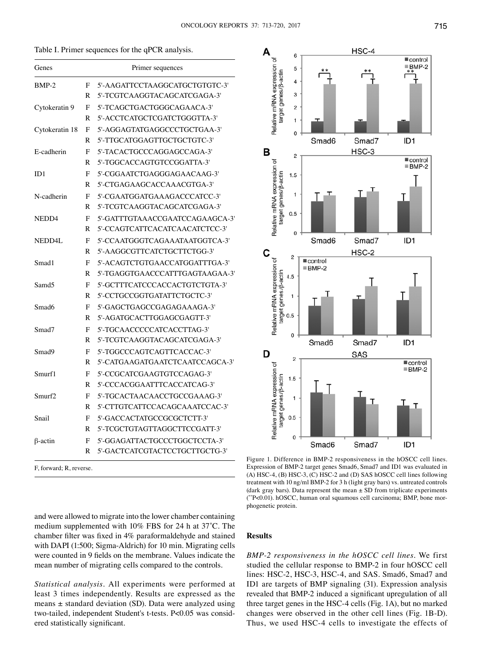Δ

6

5

 $\overline{4}$ 

| Table I. Primer sequences for the qPCR analysis. |  |  |  |
|--------------------------------------------------|--|--|--|
|--------------------------------------------------|--|--|--|

| Genes                   |   | Primer sequences                |
|-------------------------|---|---------------------------------|
| $BMP-2$                 | F | 5'-AAGATTCCTAAGGCATGCTGTGTC-3'  |
|                         | R | 5'-TCGTCAAGGTACAGCATCGAGA-3'    |
| Cytokeratin 9           | F | 5'-TCAGCTGACTGGGCAGAACA-3'      |
|                         | R | 5'-ACCTCATGCTCGATCTGGGTTA-3'    |
| Cytokeratin 18          | F | 5'-AGGAGTATGAGGCCCTGCTGAA-3'    |
|                         | R | 5'-TTGCATGGAGTTGCTGCTGTC-3'     |
| E-cadherin              | F | 5'-TACACTGCCCAGGAGCCAGA-3'      |
|                         | R | 5'-TGGCACCAGTGTCCGGATTA-3'      |
| ID1                     | F | 5'-CGGAATCTGAGGGAGAACAAG-3'     |
|                         | R | 5'-CTGAGAAGCACCAAACGTGA-3'      |
| N-cadherin              | F | 5'-CGAATGGATGAAAGACCCATCC-3'    |
|                         | R | 5'-TCGTCAAGGTACAGCATCGAGA-3'    |
| NEDD4                   | F | 5'-GATTTGTAAACCGAATCCAGAAGCA-3' |
|                         | R | 5'-CCAGTCATTCACATCAACATCTCC-3'  |
| NEDD4L                  | F | 5'-CCAATGGGTCAGAAATAATGGTCA-3'  |
|                         | R | 5'-AAGGCGTTCATCTGCTTCTGG-3'     |
| Smad1                   | F | 5'-ACAGTCTGTGAACCATGGATTTGA-3'  |
|                         | R | 5'-TGAGGTGAACCCATTTGAGTAAGAA-3' |
| Samd <sub>5</sub>       | F | 5'-GCTTTCATCCCACCACTGTCTGTA-3'  |
|                         | R | 5'-CCTGCCGGTGATATTCTGCTC-3'     |
| Smad <sub>6</sub>       | F | 5'-GAGCTGAGCCGAGAGAAAGA-3'      |
|                         | R | 5'-AGATGCACTTGGAGCGAGTT-3'      |
| Smad7                   | F | 5'-TGCAACCCCCATCACCTTAG-3'      |
|                         | R | 5'-TCGTCAAGGTACAGCATCGAGA-3'    |
| Smad9                   | F | 5'-TGGCCCAGTCAGTTCACCAC-3'      |
|                         | R | 5'-CATGAAGATGAATCTCAATCCAGCA-3' |
| Smurf1                  | F | 5'-CCGCATCGAAGTGTCCAGAG-3'      |
|                         | R | 5'-CCCACGGAATTTCACCATCAG-3'     |
| Smurf2                  | F | 5'-TGCACTAACAACCTGCCGAAAG-3'    |
|                         | R | 5'-CTTGTCATTCCACAGCAAATCCAC-3'  |
| Snail                   | F | 5'-GACCACTATGCCGCGCTCTT-3'      |
|                         | R | 5'-TCGCTGTAGTTAGGCTTCCGATT-3'   |
| $\beta$ -actin          | F | 5'-GGAGATTACTGCCCTGGCTCCTA-3'   |
|                         | R | 5'-GACTCATCGTACTCCTGCTTGCTG-3'  |
| F, forward; R, reverse. |   |                                 |

Relative mRNA expression of target genes/<sub>B</sub>-actin 3  $\overline{2}$ 1  $\mathbf 0$ ID<sub>1</sub> Smad<sub>6</sub> Smad7 B HSC-3  $\overline{2}$  $\overline{\phantom{a}}$  control Relative mRNA expression of  $\equiv$  BMP-2 target genes/<sub>B-actin</sub>  $1.5$  $\mathbf{1}$  $0.5$  $\mathfrak{g}$ Smad6 Smad7 ID<sub>1</sub> C HSC-2  $\overline{c}$ Relative mRNA expression of  $\blacksquare$  control  $\equiv$  BMP-2 target genes/ß-actin  $4.5$  $\overline{1}$  $0.5$  $\mathbf 0$ ID<sub>1</sub> Smad6 Smad7 D SAS  $\overline{c}$  $\blacksquare$  control Relative mRNA expression of  $\blacksquare$  BMP-2 target genes/<sub>p-actin</sub>  $1.5$  $\mathbf{1}$  $0.5$  $\overline{0}$ Smad6 Smad7 ID<sub>1</sub> Figure 1. Difference in BMP-2 responsiveness in the hOSCC cell lines.

HSC-4

Expression of BMP-2 target genes Smad6, Smad7 and ID1 was evaluated in (A) HSC-4, (B) HSC-3, (C) HSC-2 and (D) SAS hOSCC cell lines following treatment with 10 ng/ml BMP-2 for 3 h (light gray bars) vs. untreated controls (dark gray bars). Data represent the mean  $\pm$  SD from triplicate experiments ( \*\*P<0.01). hOSCC, human oral squamous cell carcinoma; BMP, bone morphogenetic protein.

and were allowed to migrate into the lower chamber containing medium supplemented with 10% FBS for 24 h at 37˚C. The chamber filter was fixed in 4% paraformaldehyde and stained with DAPI (1:500; Sigma-Aldrich) for 10 min. Migrating cells were counted in 9 fields on the membrane. Values indicate the mean number of migrating cells compared to the controls.

*Statistical analysis.* All experiments were performed at least 3 times independently. Results are expressed as the means  $\pm$  standard deviation (SD). Data were analyzed using two-tailed, independent Student's t-tests. P<0.05 was considered statistically significant.

#### **Results**

*BMP-2 responsiveness in the hOSCC cell lines.* We first studied the cellular response to BMP-2 in four hOSCC cell lines: HSC-2, HSC-3, HSC-4, and SAS. Smad6, Smad7 and ID1 are targets of BMP signaling (31). Expression analysis revealed that BMP-2 induced a significant upregulation of all three target genes in the HSC-4 cells (Fig. 1A), but no marked changes were observed in the other cell lines (Fig. 1B-D). Thus, we used HSC-4 cells to investigate the effects of

 $\blacksquare$ control BMP-2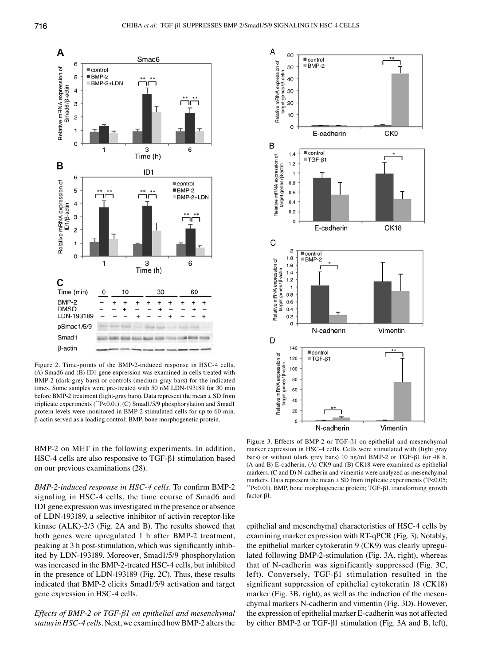

Figure 2. Time-points of the BMP-2-induced response in HSC-4 cells. (A) Smad6 and (B) ID1 gene expression was examined in cells treated with BMP-2 (dark-grey bars) or controls (medium-gray bars) for the indicated times. Some samples were pre-treated with 50 nM LDN-193189 for 30 min before BMP-2 treatment (light-gray bars). Data represent the mean  $\pm$  SD from triplicate experiments (\*\*P<0.01). (C) Smad1/5/9 phosphorylation and Smad1 protein levels were monitored in BMP-2 stimulated cells for up to 60 min. β-actin served as a loading control; BMP, bone morphogenetic protein.

BMP-2 on MET in the following experiments. In addition, HSC-4 cells are also responsive to TGF-β1 stimulation based on our previous examinations (28).

*BMP-2-induced response in HSC-4 cells.* To confirm BMP-2 signaling in HSC-4 cells, the time course of Smad6 and ID1 gene expression was investigated in the presence or absence of LDN-193189, a selective inhibitor of activin receptor-like kinase (ALK)-2/3 (Fig. 2A and B). The results showed that both genes were upregulated 1 h after BMP-2 treatment, peaking at 3 h post-stimulation, which was significantly inhibited by LDN-193189. Moreover, Smad1/5/9 phosphorylation was increased in the BMP-2-treated HSC-4 cells, but inhibited in the presence of LDN-193189 (Fig. 2C). Thus, these results indicated that BMP-2 elicits Smad1/5/9 activation and target gene expression in HSC-4 cells.

*Effects of BMP-2 or TGF-β1 on epithelial and mesenchymal status in HSC-4 cells.* Next, we examined how BMP-2 alters the



Figure 3. Effects of BMP-2 or TGF-β1 on epithelial and mesenchymal marker expression in HSC-4 cells. Cells were stimulated with (light gray bars) or without (dark grey bars) 10 ng/ml BMP-2 or TGF-β1 for 48 h. (A and B) E-cadherin, (A) CK9 and (B) CK18 were examined as epithelial markers. (C and D) N-cadherin and vimentin were analyzed as mesenchymal markers. Data represent the mean  $\pm$  SD from triplicate experiments ( $P$ <0.05; \*\*P<0.01). BMP, bone morphogenetic protein; TGF-β1, transforming growth factor-β1.

epithelial and mesenchymal characteristics of HSC-4 cells by examining marker expression with RT-qPCR (Fig. 3). Notably, the epithelial marker cytokeratin 9 (CK9) was clearly upregulated following BMP-2-stimulation (Fig. 3A, right), whereas that of N-cadherin was significantly suppressed (Fig. 3C, left). Conversely, TGF-β1 stimulation resulted in the significant suppression of epithelial cytokeratin 18 (CK18) marker (Fig. 3B, right), as well as the induction of the mesenchymal markers N-cadherin and vimentin (Fig. 3D). However, the expression of epithelial marker E-cadherin was not affected by either BMP-2 or TGF-β1 stimulation (Fig. 3A and B, left),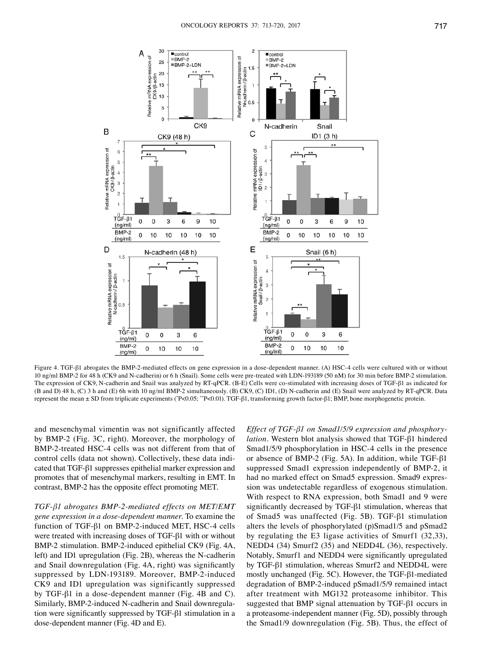

Figure 4. TGF-β1 abrogates the BMP-2-mediated effects on gene expression in a dose-dependent manner. (A) HSC-4 cells were cultured with or without 10 ng/ml BMP-2 for 48 h (CK9 and N-cadherin) or 6 h (Snail). Some cells were pre-treated with LDN-193189 (50 nM) for 30 min before BMP-2 stimulation. The expression of CK9, N-cadherin and Snail was analyzed by RT-qPCR. (B-E) Cells were co-stimulated with increasing doses of TGF-β1 as indicated for (B and D) 48 h, (C) 3 h and (E) 6h with 10 ng/ml BMP-2 simultaneously. (B) CK9, (C) ID1, (D) N-cadherin and (E) Snail were analyzed by RT-qPCR. Data represent the mean ± SD from triplicate experiments (\*P<0.05; \*\*P<0.01). TGF-β1, transforming growth factor-β1; BMP, bone morphogenetic protein.

and mesenchymal vimentin was not significantly affected by BMP-2 (Fig. 3C, right). Moreover, the morphology of BMP-2-treated HSC-4 cells was not different from that of control cells (data not shown). Collectively, these data indicated that TGF-β1 suppresses epithelial marker expression and promotes that of mesenchymal markers, resulting in EMT. In contrast, BMP-2 has the opposite effect promoting MET.

*TGF-β1 abrogates BMP-2-mediated effects on MET/EMT gene expression in a dose-dependent manner.* To examine the function of TGF-β1 on BMP-2-induced MET, HSC-4 cells were treated with increasing doses of TGF-β1 with or without BMP-2 stimulation. BMP-2-induced epithelial CK9 (Fig. 4A, left) and ID1 upregulation (Fig. 2B), whereas the N-cadherin and Snail downregulation (Fig. 4A, right) was significantly suppressed by LDN-193189. Moreover, BMP-2-induced CK9 and ID1 upregulation was significantly suppressed by TGF-β1 in a dose-dependent manner (Fig. 4B and C). Similarly, BMP-2-induced N-cadherin and Snail downregulation were significantly suppressed by TGF-β1 stimulation in a dose-dependent manner (Fig. 4D and E).

*Effect of TGF-β1 on Smad1/5/9 expression and phosphorylation.* Western blot analysis showed that TGF-β1 hindered Smad1/5/9 phosphorylation in HSC-4 cells in the presence or absence of BMP-2 (Fig. 5A). In addition, while TGF-β1 suppressed Smad1 expression independently of BMP-2, it had no marked effect on Smad5 expression. Smad9 expression was undetectable regardless of exogenous stimulation. With respect to RNA expression, both Smad1 and 9 were significantly decreased by TGF-β1 stimulation, whereas that of Smad5 was unaffected (Fig. 5B). TGF-β1 stimulation alters the levels of phosphorylated (p)Smad1/5 and pSmad2 by regulating the E3 ligase activities of Smurf1 (32,33), NEDD4 (34) Smurf2 (35) and NEDD4L (36), respectively. Notably, Smurf1 and NEDD4 were significantly upregulated by TGF-β1 stimulation, whereas Smurf2 and NEDD4L were mostly unchanged (Fig. 5C). However, the TGF-β1-mediated degradation of BMP-2-induced pSmad1/5/9 remained intact after treatment with MG132 proteasome inhibitor. This suggested that BMP signal attenuation by TGF-β1 occurs in a proteasome-independent manner (Fig. 5D), possibly through the Smad1/9 downregulation (Fig. 5B). Thus, the effect of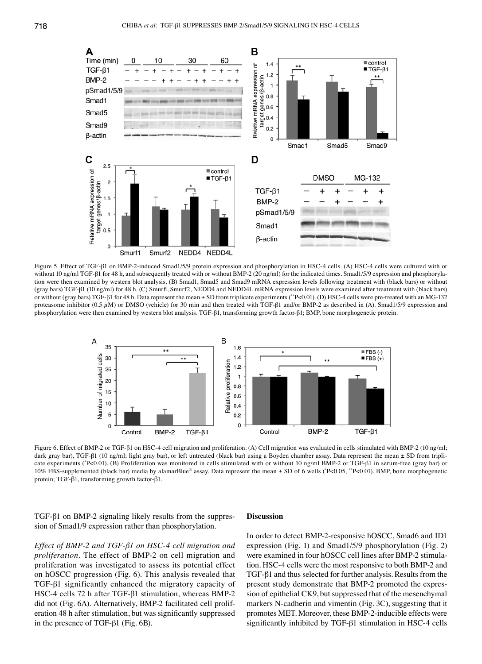

Figure 5. Effect of TGF-β1 on BMP-2-induced Smad1/5/9 protein expression and phosphorylation in HSC-4 cells. (A) HSC-4 cells were cultured with or without 10 ng/ml TGF-β1 for 48 h, and subsequently treated with or without BMP-2 (20 ng/ml) for the indicated times. Smad1/5/9 expression and phosphorylation were then examined by western blot analysis. (B) Smad1, Smad5 and Smad9 mRNA expression levels following treatment with (black bars) or without (gray bars) TGF-β1 (10 ng/ml) for 48 h. (C) Smurfl, Smurf2, NEDD4 and NEDD4L mRNA expression levels were examined after treatment with (black bars) or without (gray bars) TGF-β1 for 48 h. Data represent the mean ± SD from triplicate experiments (\*\*P<0.01). (D) HSC-4 cells were pre-treated with an MG-132 proteasome inhibitor (0.5  $\mu$ M) or DMSO (vehicle) for 30 min and then treated with TGF-β1 and/or BMP-2 as described in (A). Smad1/5/9 expression and phosphorylation were then examined by western blot analysis. TGF-β1, transforming growth factor-β1; BMP, bone morphogenetic protein.



Figure 6. Effect of BMP-2 or TGF-β1 on HSC-4 cell migration and proliferation. (A) Cell migration was evaluated in cells stimulated with BMP-2 (10 ng/ml; dark gray bar), TGF-β1 (10 ng/ml; light gray bar), or left untreated (black bar) using a Boyden chamber assay. Data represent the mean ± SD from triplicate experiments (°P<0.01). (B) Proliferation was monitored in cells stimulated with or without 10 ng/ml BMP-2 or TGF-β1 in serum-free (gray bar) or 10% FBS-supplemented (black bar) media by alamarBlue® assay. Data represent the mean ± SD of 6 wells (\* P<0.05, \*\*P<0.01). BMP, bone morphogenetic protein; TGF-β1, transforming growth factor-β1.

TGF-β1 on BMP-2 signaling likely results from the suppression of Smad1/9 expression rather than phosphorylation.

#### **Discussion**

*Effect of BMP-2 and TGF-β1 on HSC-4 cell migration and proliferation.* The effect of BMP-2 on cell migration and proliferation was investigated to assess its potential effect on hOSCC progression (Fig. 6). This analysis revealed that TGF-β1 significantly enhanced the migratory capacity of HSC-4 cells 72 h after TGF-β1 stimulation, whereas BMP-2 did not (Fig. 6A). Alternatively, BMP-2 facilitated cell proliferation 48 h after stimulation, but was significantly suppressed in the presence of TGF-β1 (Fig. 6B).

In order to detect BMP-2-responsive hOSCC, Smad6 and ID1 expression (Fig. 1) and Smad1/5/9 phosphorylation (Fig. 2) were examined in four hOSCC cell lines after BMP-2 stimulation. HSC-4 cells were the most responsive to both BMP-2 and TGF-β1 and thus selected for further analysis. Results from the present study demonstrate that BMP-2 promoted the expression of epithelial CK9, but suppressed that of the mesenchymal markers N-cadherin and vimentin (Fig. 3C), suggesting that it promotes MET. Moreover, these BMP-2-inducible effects were significantly inhibited by TGF-β1 stimulation in HSC-4 cells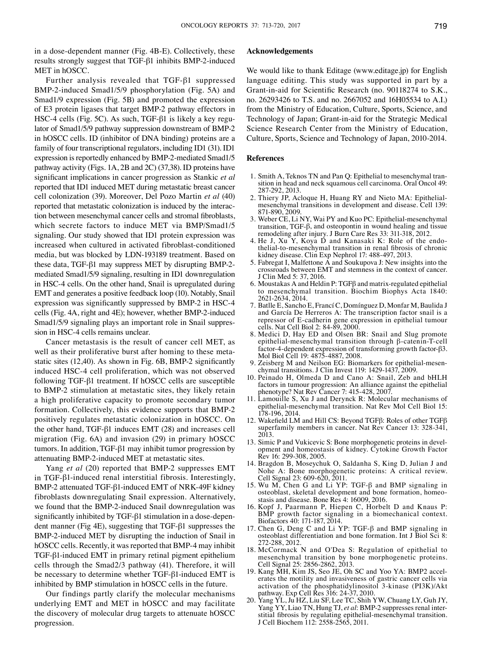in a dose-dependent manner (Fig. 4B-E). Collectively, these results strongly suggest that TGF-β1 inhibits BMP-2-induced MET in hOSCC.

Further analysis revealed that TGF-β1 suppressed BMP-2-induced Smad1/5/9 phosphorylation (Fig. 5A) and Smad1/9 expression (Fig. 5B) and promoted the expression of E3 protein ligases that target BMP-2 pathway effectors in HSC-4 cells (Fig. 5C). As such, TGF-β1 is likely a key regulator of Smad1/5/9 pathway suppression downstream of BMP-2 in hOSCC cells. ID (inhibitor of DNA binding) proteins are a family of four transcriptional regulators, including ID1 (31). ID1 expression is reportedly enhanced by BMP-2-mediated Smad1/5 pathway activity (Figs. 1A, 2B and 2C) (37,38). ID proteins have significant implications in cancer progression as Stankic *et al* reported that ID1 induced MET during metastatic breast cancer cell colonization (39). Moreover, Del Pozo Martin *et al* (40) reported that metastatic colonization is induced by the interaction between mesenchymal cancer cells and stromal fibroblasts, which secrete factors to induce MET via BMP/Smad1/5 signaling. Our study showed that ID1 protein expression was increased when cultured in activated fibroblast-conditioned media, but was blocked by LDN-193189 treatment. Based on these data, TGF-β1 may suppress MET by disrupting BMP-2 mediated Smad1/5/9 signaling, resulting in ID1 downregulation in HSC-4 cells. On the other hand, Snail is upregulated during EMT and generates a positive feedback loop (10). Notably, Snail expression was significantly suppressed by BMP-2 in HSC-4 cells (Fig. 4A, right and 4E); however, whether BMP-2-induced Smad1/5/9 signaling plays an important role in Snail suppression in HSC-4 cells remains unclear.

Cancer metastasis is the result of cancer cell MET, as well as their proliferative burst after homing to these metastatic sites (12,40). As shown in Fig. 6B, BMP-2 significantly induced HSC-4 cell proliferation, which was not observed following TGF-β1 treatment. If hOSCC cells are susceptible to BMP-2 stimulation at metastatic sites, they likely retain a high proliferative capacity to promote secondary tumor formation. Collectively, this evidence supports that BMP-2 positively regulates metastatic colonization in hOSCC. On the other hand, TGF-β1 induces EMT (28) and increases cell migration (Fig. 6A) and invasion (29) in primary hOSCC tumors. In addition, TGF-β1 may inhibit tumor progression by attenuating BMP-2-induced MET at metastatic sites.

Yang *et al* (20) reported that BMP-2 suppresses EMT in TGF-β1-induced renal interstitial fibrosis. Interestingly, BMP-2 attenuated TGF-β1-induced EMT of NRK-49F kidney fibroblasts downregulating Snail expression. Alternatively, we found that the BMP-2-induced Snail downregulation was significantly inhibited by TGF-β1 stimulation in a dose-dependent manner (Fig 4E), suggesting that TGF-β1 suppresses the BMP-2-induced MET by disrupting the induction of Snail in hOSCC cells. Recently, it was reported that BMP-4 may inhibit TGF-β1-induced EMT in primary retinal pigment epithelium cells through the Smad2/3 pathway (41). Therefore, it will be necessary to determine whether TGF-β1-induced EMT is inhibited by BMP stimulation in hOSCC cells in the future.

Our findings partly clarify the molecular mechanisms underlying EMT and MET in hOSCC and may facilitate the discovery of molecular drug targets to attenuate hOSCC progression.

#### **Acknowledgements**

We would like to thank Editage (www.editage.jp) for English language editing. This study was supported in part by a Grant-in-aid for Scientific Research (no. 90118274 to S.K., no. 26293426 to T.S. and no. 2667052 and 16H05534 to A.I.) from the Ministry of Education, Culture, Sports, Science, and Technology of Japan; Grant-in-aid for the Strategic Medical Science Research Center from the Ministry of Education, Culture, Sports, Science and Technology of Japan, 2010-2014.

#### **References**

- 1. Smith A, Teknos TN and Pan Q: Epithelial to mesenchymal tran- sition in head and neck squamous cell carcinoma. Oral Oncol 49: 287-292, 2013.<br>2. Thiery JP, Acloque H, Huang RY and Nieto MA: Epithelial-
- mesenchymal transitions in development and disease. Cell 139: 871-890, 2009.
- 3. Weber CE, Li NY, Wai PY and Kuo PC: Epithelial-mesenchymal transition, TGF-β, and osteopontin in wound healing and tissue remodeling after injury. J Burn Care Res 33: 311-318, 2012.
- the lial-to-mesenchymal transition in renal fibrosis of chronic kidney disease. Clin Exp Nephrol 17: 488-497, 2013.
- 5. Fabregat I, Malfettone  $\hat{A}$  and Soukupova J: New insights into the crossroads between EMT and stemness in the context of cancer. J Clin Med 5: 37, 2016.
- 6. Moustakas A and Heldin P: TGFβ and matrix-regulated epithelial to mesenchymal transition. Biochim Biophys Acta 1840: 2621-2634, 2014.
- 7. Batlle E, Sancho E, Francí C, Domínguez D, Monfar M, Baulida J and García De Herreros A: The transcription factor snail is a repressor of E-cadherin gene expression in epithelial tumour cells. Nat Cell Biol 2: 84-89, 2000.
- 8. Medici D, Hay ED and Olsen BR: Snail and Slug promote epithelial-mesenchymal transition through β-catenin-T-cell factor-4-dependent expression of transforming growth factor-β3. Mol Biol Cell 19: 4875-4887, 2008.<br>9. Zeisberg M and Neilson EG: Biomarkers for epithelial-mesen-
- chymal transitions. J Clin Invest 119: 1429-1437, 2009.
- 10. Peinado H, Olmeda D and Cano A: Snail, Zeb and bHLH factors in tumour progression: An alliance against the epithelial phenotype? Nat Rev Cancer 7: 415-428, 2007.
- 11. Lamouille S, Xu J and Derynck R: Molecular mechanisms of epithelial-mesenchymal transition. Nat Rev Mol Cell Biol 15: 178-196, 2014.
- 12. Wakefield LM and Hill CS: Beyond TGFβ: Roles of other TGFβ superfamily members in cancer. Nat Rev Cancer 13: 328-341,
- 2013.<br>13. Simic P and Vukicevic S: Bone morphogenetic proteins in development and homeostasis of kidney. Cytokine Growth Factor Rev 16: 299-308, 2005.
- 14. Bragdon B, Moseychuk O, Saldanha S, King D, Julian J and Nohe A: Bone morphogenetic proteins: A critical review. Cell Signal 23: 609-620, 2011.
- 15. Wu M, Chen G and Li YP: TGF-β and BMP signaling in osteoblast, skeletal development and bone formation, homeo- stasis and disease. Bone Res 4: 16009, 2016.
- 16. Kopf J, Paarmann P, Hiepen C, Horbelt D and Knaus P: BMP growth factor signaling in a biomechanical context. Biofactors 40: 171-187, 2014.
- 17. Chen G, Deng C and Li YP: TGF-β and BMP signaling in osteoblast differentiation and bone formation. Int J Biol Sci 8: 272-288, 2012.
- 18. McCormack N and O'Dea S: Regulation of epithelial to mesenchymal transition by bone morphogenetic proteins. Cell Signal 25: 2856-2862, 2013.
- 19. Kang MH, Kim JS, Seo JE, Oh SC and Yoo YA: BMP2 accel- erates the motility and invasiveness of gastric cancer cells via activation of the phosphatidylinositol 3-kinase (PI3K)/Akt pathway. Exp Cell Res 316: 24-37, 2010.
- 20. Yang YL, Ju HZ, Liu SF, Lee TC, Shih YW, Chuang LY, Guh JY, Yang YY, Liao TN, Hung TJ, *et al*: BMP-2 suppresses renal interstitial fibrosis by regulating epithelial-mesenchymal transition. J Cell Biochem 112: 2558-2565, 2011.